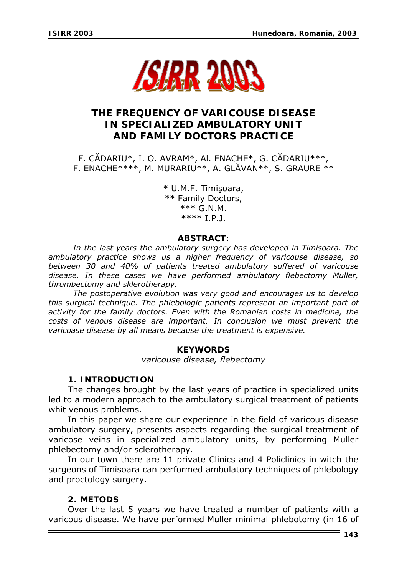

# **THE FREQUENCY OF VARICOUSE DISEASE IN SPECIALIZED AMBULATORY UNIT AND FAMILY DOCTORS PRACTICE**

F. CĂDARIU\*, I. O. AVRAM\*, Al. ENACHE\*, G. CĂDARIU\*\*\*, F. ENACHE\*\*\*\*, M. MURARIU\*\*, A. GLĂVAN\*\*, S. GRAURE \*\*

> \* U.M.F. Timişoara, \*\* Family Doctors, \*\*\* G.N.M. \*\*\*\* I.P.J.

## *ABSTRACT:*

*In the last years the ambulatory surgery has developed in Timisoara. The ambulatory practice shows us a higher frequency of varicouse disease, so between 30 and 40% of patients treated ambulatory suffered of varicouse disease. In these cases we have performed ambulatory flebectomy Muller, thrombectomy and sklerotherapy.* 

*The postoperative evolution was very good and encourages us to develop this surgical technique. The phlebologic patients represent an important part of*  activity for the family doctors. Even with the Romanian costs in medicine, the *costs of venous disease are important. In conclusion we must prevent the varicoase disease by all means because the treatment is expensive.* 

## *KEYWORDS*

*varicouse disease, flebectomy* 

## *1.* **INTRODUCTION**

The changes brought by the last years of practice in specialized units led to a modern approach to the ambulatory surgical treatment of patients whit venous problems.

In this paper we share our experience in the field of varicous disease ambulatory surgery, presents aspects regarding the surgical treatment of varicose veins in specialized ambulatory units, by performing Muller phlebectomy and/or sclerotherapy.

In our town there are 11 private Clinics and 4 Policlinics in witch the surgeons of Timisoara can performed ambulatory techniques of phlebology and proctology surgery.

## *2.* **METODS**

Over the last 5 years we have treated a number of patients with a varicous disease. We have performed Muller minimal phlebotomy (in 16 of